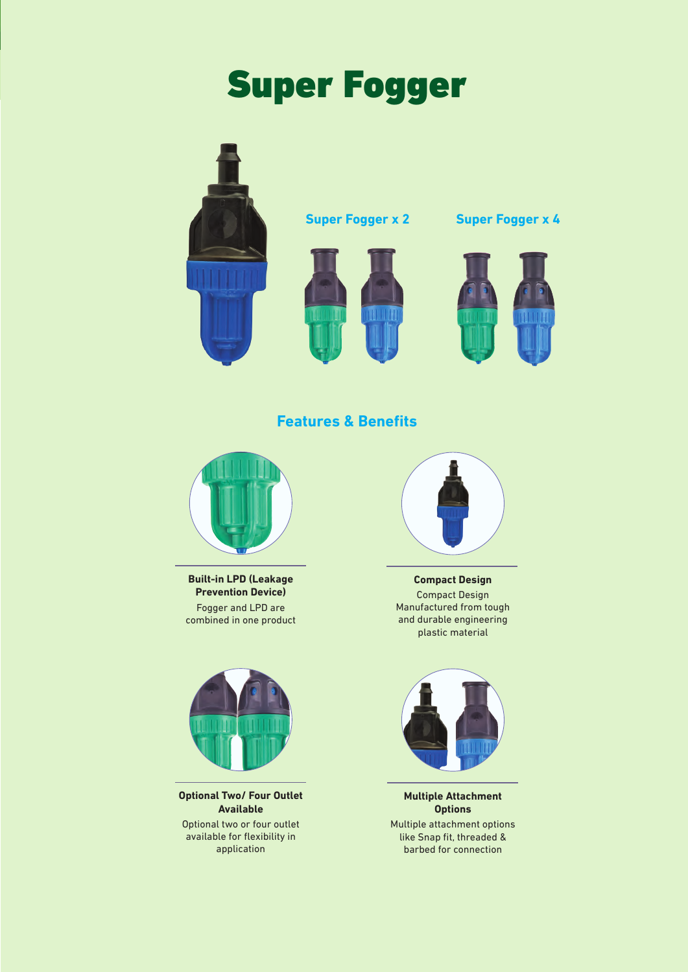# Super Fogger





**Super Fogger x 2 Super Fogger x 4**



# **Features & Benefits**



**Built-in LPD (Leakage Prevention Device)** Fogger and LPD are combined in one product



**Optional Two/ Four Outlet Available** Optional two or four outlet available for flexibility in application



**Compact Design** Compact Design Manufactured from tough and durable engineering plastic material



**Multiple Attachment Options** Multiple attachment options like Snap fit, threaded & barbed for connection